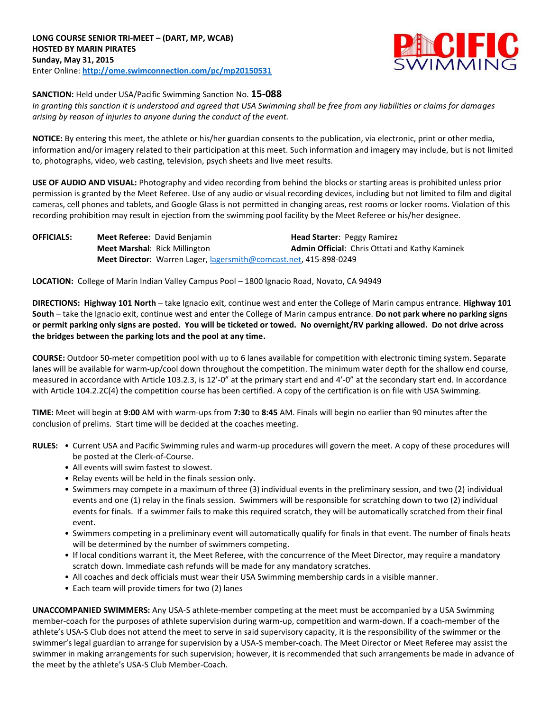

#### **SANCTION:** Held under USA/Pacific Swimming Sanction No. **15-088**

*In granting this sanction it is understood and agreed that USA Swimming shall be free from any liabilities or claims for damages arising by reason of injuries to anyone during the conduct of the event.* 

**NOTICE:** By entering this meet, the athlete or his/her guardian consents to the publication, via electronic, print or other media, information and/or imagery related to their participation at this meet. Such information and imagery may include, but is not limited to, photographs, video, web casting, television, psych sheets and live meet results.

**USE OF AUDIO AND VISUAL:** Photography and video recording from behind the blocks or starting areas is prohibited unless prior permission is granted by the Meet Referee. Use of any audio or visual recording devices, including but not limited to film and digital cameras, cell phones and tablets, and Google Glass is not permitted in changing areas, rest rooms or locker rooms. Violation of this recording prohibition may result in ejection from the swimming pool facility by the Meet Referee or his/her designee.

| <b>OFFICIALS:</b> | <b>Meet Referee: David Benjamin</b>                               | <b>Head Starter: Peggy Ramirez</b>             |
|-------------------|-------------------------------------------------------------------|------------------------------------------------|
|                   | <b>Meet Marshal: Rick Millington</b>                              | Admin Official: Chris Ottati and Kathy Kaminek |
|                   | Meet Director: Warren Lager, lagersmith@comcast.net, 415-898-0249 |                                                |

**LOCATION:** College of Marin Indian Valley Campus Pool – 1800 Ignacio Road, Novato, CA 94949

**DIRECTIONS: Highway 101 North** – take Ignacio exit, continue west and enter the College of Marin campus entrance. **Highway 101 South** – take the Ignacio exit, continue west and enter the College of Marin campus entrance. **Do not park where no parking signs or permit parking only signs are posted. You will be ticketed or towed. No overnight/RV parking allowed. Do not drive across the bridges between the parking lots and the pool at any time.**

**COURSE:** Outdoor 50-meter competition pool with up to 6 lanes available for competition with electronic timing system. Separate lanes will be available for warm-up/cool down throughout the competition. The minimum water depth for the shallow end course, measured in accordance with Article 103.2.3, is 12'-0" at the primary start end and 4'-0" at the secondary start end. In accordance with Article 104.2.2C(4) the competition course has been certified. A copy of the certification is on file with USA Swimming.

**TIME:** Meet will begin at **9:00** AM with warm-ups from **7:30** to **8:45** AM. Finals will begin no earlier than 90 minutes after the conclusion of prelims. Start time will be decided at the coaches meeting.

- **RULES:** Current USA and Pacific Swimming rules and warm-up procedures will govern the meet. A copy of these procedures will be posted at the Clerk-of-Course.
	- All events will swim fastest to slowest.
	- Relay events will be held in the finals session only.
	- Swimmers may compete in a maximum of three (3) individual events in the preliminary session, and two (2) individual events and one (1) relay in the finals session. Swimmers will be responsible for scratching down to two (2) individual events for finals. If a swimmer fails to make this required scratch, they will be automatically scratched from their final event.
	- Swimmers competing in a preliminary event will automatically qualify for finals in that event. The number of finals heats will be determined by the number of swimmers competing.
	- If local conditions warrant it, the Meet Referee, with the concurrence of the Meet Director, may require a mandatory scratch down. Immediate cash refunds will be made for any mandatory scratches.
	- All coaches and deck officials must wear their USA Swimming membership cards in a visible manner.
	- Each team will provide timers for two (2) lanes

**UNACCOMPANIED SWIMMERS:** Any USA-S athlete-member competing at the meet must be accompanied by a USA Swimming member-coach for the purposes of athlete supervision during warm-up, competition and warm-down. If a coach-member of the athlete's USA-S Club does not attend the meet to serve in said supervisory capacity, it is the responsibility of the swimmer or the swimmer's legal guardian to arrange for supervision by a USA-S member-coach. The Meet Director or Meet Referee may assist the swimmer in making arrangements for such supervision; however, it is recommended that such arrangements be made in advance of the meet by the athlete's USA-S Club Member-Coach.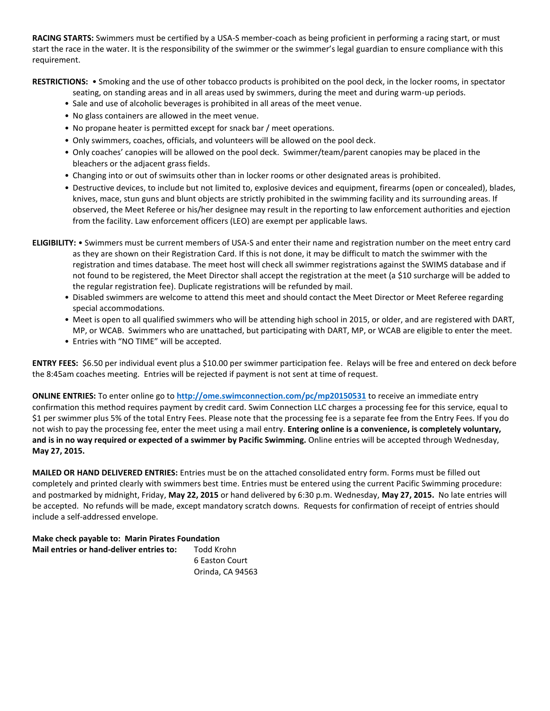**RACING STARTS:** Swimmers must be certified by a USA-S member-coach as being proficient in performing a racing start, or must start the race in the water. It is the responsibility of the swimmer or the swimmer's legal guardian to ensure compliance with this requirement.

**RESTRICTIONS:** • Smoking and the use of other tobacco products is prohibited on the pool deck, in the locker rooms, in spectator

- seating, on standing areas and in all areas used by swimmers, during the meet and during warm-up periods.
- Sale and use of alcoholic beverages is prohibited in all areas of the meet venue.
- No glass containers are allowed in the meet venue.
- No propane heater is permitted except for snack bar / meet operations.
- Only swimmers, coaches, officials, and volunteers will be allowed on the pool deck.
- Only coaches' canopies will be allowed on the pool deck. Swimmer/team/parent canopies may be placed in the bleachers or the adjacent grass fields.
- Changing into or out of swimsuits other than in locker rooms or other designated areas is prohibited.
- Destructive devices, to include but not limited to, explosive devices and equipment, firearms (open or concealed), blades, knives, mace, stun guns and blunt objects are strictly prohibited in the swimming facility and its surrounding areas. If observed, the Meet Referee or his/her designee may result in the reporting to law enforcement authorities and ejection from the facility. Law enforcement officers (LEO) are exempt per applicable laws.
- **ELIGIBILITY:**  Swimmers must be current members of USA-S and enter their name and registration number on the meet entry card as they are shown on their Registration Card. If this is not done, it may be difficult to match the swimmer with the registration and times database. The meet host will check all swimmer registrations against the SWIMS database and if not found to be registered, the Meet Director shall accept the registration at the meet (a \$10 surcharge will be added to the regular registration fee). Duplicate registrations will be refunded by mail.
	- Disabled swimmers are welcome to attend this meet and should contact the Meet Director or Meet Referee regarding special accommodations.
	- Meet is open to all qualified swimmers who will be attending high school in 2015, or older, and are registered with DART, MP, or WCAB. Swimmers who are unattached, but participating with DART, MP, or WCAB are eligible to enter the meet.
	- Entries with "NO TIME" will be accepted.

**ENTRY FEES:** \$6.50 per individual event plus a \$10.00 per swimmer participation fee. Relays will be free and entered on deck before the 8:45am coaches meeting. Entries will be rejected if payment is not sent at time of request.

**ONLINE ENTRIES:** To enter online go to **<http://ome.swimconnection.com/pc/mp20150531>** to receive an immediate entry confirmation this method requires payment by credit card. Swim Connection LLC charges a processing fee for this service, equal to \$1 per swimmer plus 5% of the total Entry Fees. Please note that the processing fee is a separate fee from the Entry Fees. If you do not wish to pay the processing fee, enter the meet using a mail entry. **Entering online is a convenience, is completely voluntary, and is in no way required or expected of a swimmer by Pacific Swimming.** Online entries will be accepted through Wednesday, **May 27, 2015.** 

**MAILED OR HAND DELIVERED ENTRIES:** Entries must be on the attached consolidated entry form. Forms must be filled out completely and printed clearly with swimmers best time. Entries must be entered using the current Pacific Swimming procedure: and postmarked by midnight, Friday, **May 22, 2015** or hand delivered by 6:30 p.m. Wednesday, **May 27, 2015.** No late entries will be accepted. No refunds will be made, except mandatory scratch downs. Requests for confirmation of receipt of entries should include a self-addressed envelope.

**Make check payable to: Marin Pirates Foundation**

| Mail entries or hand-deliver entries to: | Todd Krohn       |
|------------------------------------------|------------------|
|                                          | 6 Easton Court   |
|                                          | Orinda, CA 94563 |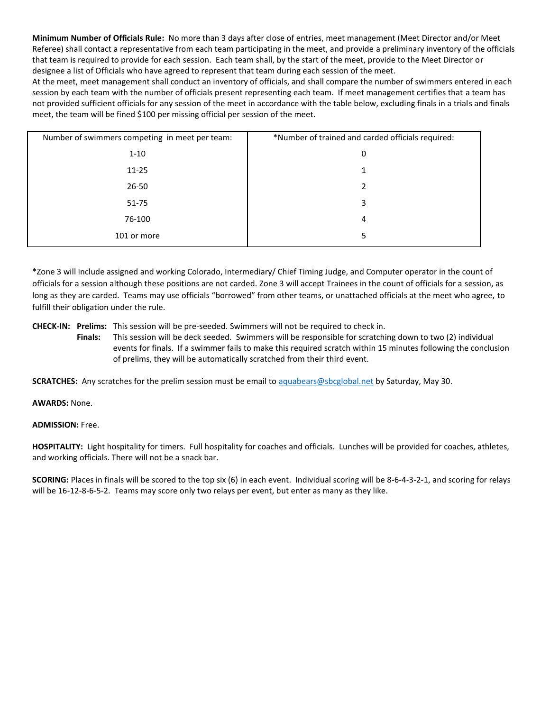**Minimum Number of Officials Rule:** No more than 3 days after close of entries, meet management (Meet Director and/or Meet Referee) shall contact a representative from each team participating in the meet, and provide a preliminary inventory of the officials that team is required to provide for each session. Each team shall, by the start of the meet, provide to the Meet Director or designee a list of Officials who have agreed to represent that team during each session of the meet.

At the meet, meet management shall conduct an inventory of officials, and shall compare the number of swimmers entered in each session by each team with the number of officials present representing each team. If meet management certifies that a team has not provided sufficient officials for any session of the meet in accordance with the table below, excluding finals in a trials and finals meet, the team will be fined \$100 per missing official per session of the meet.

| Number of swimmers competing in meet per team: | *Number of trained and carded officials required: |
|------------------------------------------------|---------------------------------------------------|
| $1 - 10$                                       | 0                                                 |
| $11 - 25$                                      |                                                   |
| $26 - 50$                                      | 2                                                 |
| 51-75                                          | 3                                                 |
| 76-100                                         | 4                                                 |
| 101 or more                                    | 5                                                 |

\*Zone 3 will include assigned and working Colorado, Intermediary/ Chief Timing Judge, and Computer operator in the count of officials for a session although these positions are not carded. Zone 3 will accept Trainees in the count of officials for a session, as long as they are carded. Teams may use officials "borrowed" from other teams, or unattached officials at the meet who agree, to fulfill their obligation under the rule.

**CHECK-IN: Prelims:** This session will be pre-seeded. Swimmers will not be required to check in.

**Finals:** This session will be deck seeded. Swimmers will be responsible for scratching down to two (2) individual events for finals. If a swimmer fails to make this required scratch within 15 minutes following the conclusion of prelims, they will be automatically scratched from their third event.

**SCRATCHES:** Any scratches for the prelim session must be email to [aquabears@sbcglobal.net](mailto:aquabears@sbcglobal.net) by Saturday, May 30.

## **AWARDS:** None.

## **ADMISSION:** Free.

**HOSPITALITY:** Light hospitality for timers. Full hospitality for coaches and officials. Lunches will be provided for coaches, athletes, and working officials. There will not be a snack bar.

**SCORING:** Places in finals will be scored to the top six (6) in each event. Individual scoring will be 8-6-4-3-2-1, and scoring for relays will be 16-12-8-6-5-2. Teams may score only two relays per event, but enter as many as they like.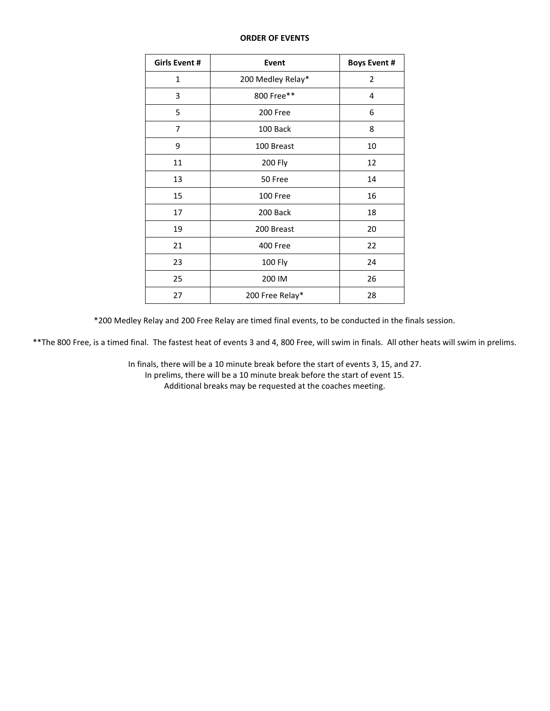#### **ORDER OF EVENTS**

| <b>Girls Event #</b> | Event             | <b>Boys Event #</b> |  |  |
|----------------------|-------------------|---------------------|--|--|
| $\mathbf{1}$         | 200 Medley Relay* | $\overline{2}$      |  |  |
| 3                    | 800 Free**        | 4                   |  |  |
| 5                    | 200 Free          | 6                   |  |  |
| 7                    | 100 Back          | 8                   |  |  |
| 9                    | 100 Breast        | 10                  |  |  |
| 11                   | 200 Fly           | 12                  |  |  |
| 13                   | 50 Free           | 14                  |  |  |
| 15                   | 100 Free          | 16                  |  |  |
| 17                   | 200 Back          | 18                  |  |  |
| 19                   | 200 Breast        | 20                  |  |  |
| 21                   | 400 Free          | 22                  |  |  |
| 23                   | 100 Fly           |                     |  |  |
| 25                   | 200 IM            |                     |  |  |
| 27                   | 200 Free Relay*   | 28                  |  |  |

\*200 Medley Relay and 200 Free Relay are timed final events, to be conducted in the finals session.

\*\*The 800 Free, is a timed final. The fastest heat of events 3 and 4, 800 Free, will swim in finals. All other heats will swim in prelims.

In finals, there will be a 10 minute break before the start of events 3, 15, and 27.

In prelims, there will be a 10 minute break before the start of event 15. Additional breaks may be requested at the coaches meeting.